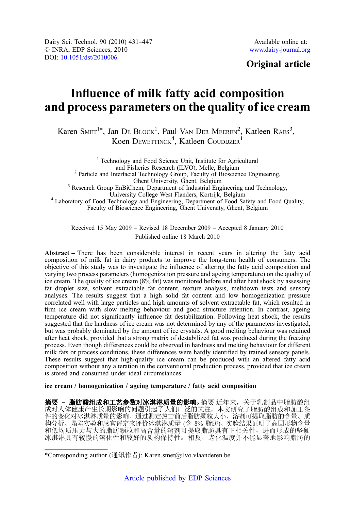# Original article

# Influence of milk fatty acid composition and process parameters on the quality of ice cream

Karen Smer<sup>1\*</sup>, Jan De Block<sup>1</sup>, Paul VAN Der Meeren<sup>2</sup>, Katleen RAEs<sup>3</sup>, Koen DEWETTINCK<sup>4</sup>, Katleen Coudijzer<sup>1</sup>

<sup>1</sup> Technology and Food Science Unit, Institute for Agricultural and Fisheries Research (ILVO), Melle, Belgium  $\frac{2}{3}$  Particle and Interfacial Technology Group, Faculty of Bioscience Engineering, Ghent University, Ghent, Belgium  $3$  Research Group EnBiChem, Department of Industrial Engineering and Technology,<br>University College West Flanders, Kortrijk, Belgium <sup>4</sup> Laboratory of Food Technology and Engineering, Department of Food Safety and Food Quality, Faculty of Bioscience Engineering, Ghent University, Ghent, Belgium

Received 15 May 2009 – Revised 18 December 2009 – Accepted 8 January 2010 Published online 18 March 2010

Abstract – There has been considerable interest in recent years in altering the fatty acid composition of milk fat in dairy products to improve the long-term health of consumers. The objective of this study was to investigate the influence of altering the fatty acid composition and varying two process parameters (homogenization pressure and ageing temperature) on the quality of ice cream. The quality of ice cream (8% fat) was monitored before and after heat shock by assessing fat droplet size, solvent extractable fat content, texture analysis, meltdown tests and sensory analyses. The results suggest that a high solid fat content and low homogenization pressure correlated well with large particles and high amounts of solvent extractable fat, which resulted in firm ice cream with slow melting behaviour and good structure retention. In contrast, ageing temperature did not significantly influence fat destabilization. Following heat shock, the results suggested that the hardness of ice cream was not determined by any of the parameters investigated, but was probably dominated by the amount of ice crystals. A good melting behaviour was retained after heat shock, provided that a strong matrix of destabilized fat was produced during the freezing process. Even though differences could be observed in hardness and melting behaviour for different milk fats or process conditions, these differences were hardly identified by trained sensory panels. These results suggest that high-quality ice cream can be produced with an altered fatty acid composition without any alteration in the conventional production process, provided that ice cream is stored and consumed under ideal circumstances.

## ice cream / homogenization / ageing temperature / fatty acid composition

摘要 - 脂肪酸组成和工艺参数对冰淇淋质量的影响。摘要 近年来,关于乳制品中脂肪酸组 成对人体健康产生长期影响的问题引起了人们广泛的关注○ 本文研究了脂肪酸组成和加工条 件的变化对冰淇淋质量的影响。通过测定热击前后脂肪颗粒大小、溶剂可提取脂肪的含量、质 构分析、塌陷实验和感官评定来评价冰淇淋质量 (含 8% 脂肪)。实验结果证明了高固形物含量 和低均质压力与大的脂肪颗粒和高含量的溶剂可提取脂肪具有正相关性,进而形成的坚硬 冰淇淋具有较慢的溶化性和较好的质构保持性。相反,老化温度并不能显著地影响脂肪的

<sup>\*</sup>Corresponding author (通讯作者): Karen.smet@ilvo.vlaanderen.be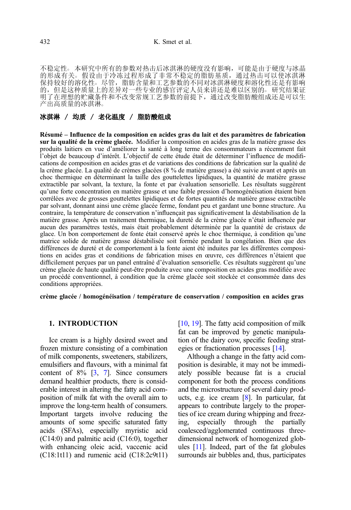不稳定性。本研究中所有的参数对热击后冰淇淋的硬度没有影响,可能是由于硬度与冰晶 的形成有关。假设由于冷冻过程形成了非常不稳定的脂肪基质,通过热击可以使冰淇淋 保持较好的溶化性○ 尽管,脂肪含量和工艺参数的不同对冰淇淋硬度和溶化性还是有影响 6.3. 公分的情况是一个音音就是自己的意义。<br>的,但是这种质量上的差异对一些专业的感官评定人员来讲还是难以区别的。研究结果证 明了在理想的贮藏条件和不改变常规工艺参数的前提下,通过改变脂肪酸组成还是可以生 产出高质量的冰淇淋○

# 冰淇淋 / 均质 / 老化温度 / 脂肪酸组成

Résumé – Influence de la composition en acides gras du lait et des paramètres de fabrication sur la qualité de la crème glacée. Modifier la composition en acides gras de la matière grasse des produits laitiers en vue d'améliorer la santé à long terme des consommateurs a récemment fait l'objet de beaucoup d'intérêt. L'objectif de cette étude était de déterminer l'influence de modifications de composition en acides gras et de variations des conditions de fabrication sur la qualité de la crème glacée. La qualité de crèmes glacées (8 % de matière grasse) a été suivie avant et après un choc thermique en déterminant la taille des gouttelettes lipidiques, la quantité de matière grasse extractible par solvant, la texture, la fonte et par évaluation sensorielle. Les résultats suggèrent qu'une forte concentration en matière grasse et une faible pression d'homogénéisation étaient bien corrélées avec de grosses gouttelettes lipidiques et de fortes quantités de matière grasse extractible par solvant, donnant ainsi une crème glacée ferme, fondant peu et gardant une bonne structure. Au contraire, la température de conservation n'influençait pas significativement la déstabilisation de la matière grasse. Après un traitement thermique, la dureté de la crème glacée n'était influencée par aucun des paramètres testés, mais était probablement déterminée par la quantité de cristaux de glace. Un bon comportement de fonte était conservé après le choc thermique, à condition qu'une matrice solide de matière grasse déstabilisée soit formée pendant la congélation. Bien que des différences de dureté et de comportement à la fonte aient été induites par les différentes compositions en acides gras et conditions de fabrication mises en œuvre, ces différences n'étaient que difficilement perçues par un panel entraîné d'évaluation sensorielle. Ces résultats suggèrent qu'une crème glacée de haute qualité peut-être produite avec une composition en acides gras modifiée avec un procédé conventionnel, à condition que la crème glacée soit stockée et consommée dans des conditions appropriées.

crème glacée / homogénéisation / température de conservation / composition en acides gras

# 1. INTRODUCTION

Ice cream is a highly desired sweet and frozen mixture consisting of a combination of milk components, sweeteners, stabilizers, emulsifiers and flavours, with a minimal fat content of  $8\%$  [\[3](#page-15-0), [7\]](#page-15-0). Since consumers demand healthier products, there is considerable interest in altering the fatty acid composition of milk fat with the overall aim to improve the long-term health of consumers. Important targets involve reducing the amounts of some specific saturated fatty acids (SFAs), especially myristic acid (C14:0) and palmitic acid (C16:0), together with enhancing oleic acid, vaccenic acid (C18:1t11) and rumenic acid (C18:2c9t11) [[10](#page-15-0), [19](#page-15-0)]. The fatty acid composition of milk fat can be improved by genetic manipulation of the dairy cow, specific feeding strategies or fractionation processes [\[14](#page-15-0)].

Although a change in the fatty acid composition is desirable, it may not be immediately possible because fat is a crucial component for both the process conditions and the microstructure of several dairy products, e.g. ice cream [\[8](#page-15-0)]. In particular, fat appears to contribute largely to the properties of ice cream during whipping and freezing, especially through the partially coalesced/agglomerated continuous threedimensional network of homogenized globules [[11\]](#page-15-0). Indeed, part of the fat globules surrounds air bubbles and, thus, participates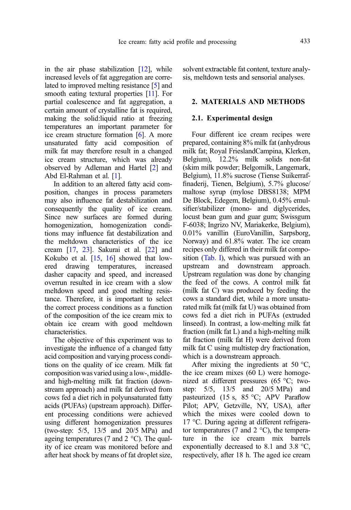in the air phase stabilization [[12](#page-15-0)], while increased levels of fat aggregation are correlated to improved melting resistance [\[5\]](#page-15-0) and smooth eating textural properties [\[11\]](#page-15-0). For partial coalescence and fat aggregation, a certain amount of crystalline fat is required, making the solid:liquid ratio at freezing temperatures an important parameter for ice cream structure formation [\[6](#page-15-0)]. A more unsaturated fatty acid composition of milk fat may therefore result in a changed ice cream structure, which was already observed by Adleman and Hartel [\[2\]](#page-15-0) and Abd El-Rahman et al. [\[1](#page-15-0)].

In addition to an altered fatty acid composition, changes in process parameters may also influence fat destabilization and consequently the quality of ice cream. Since new surfaces are formed during homogenization, homogenization conditions may influence fat destabilization and the meltdown characteristics of the ice cream [[17,](#page-15-0) [23\]](#page-16-0). Sakurai et al. [[22\]](#page-16-0) and Kokubo et al. [\[15,](#page-15-0) [16\]](#page-15-0) showed that lowered drawing temperatures, increased dasher capacity and speed, and increased overrun resulted in ice cream with a slow meltdown speed and good melting resistance. Therefore, it is important to select the correct process conditions as a function of the composition of the ice cream mix to obtain ice cream with good meltdown characteristics.

The objective of this experiment was to investigate the influence of a changed fatty acid composition and varying process conditions on the quality of ice cream. Milk fat composition was varied using a low-, middleand high-melting milk fat fraction (downstream approach) and milk fat derived from cows fed a diet rich in polyunsaturated fatty acids (PUFAs) (upstream approach). Different processing conditions were achieved using different homogenization pressures (two-step: 5/5, 13/5 and 20/5 MPa) and ageing temperatures (7 and 2  $^{\circ}$ C). The quality of ice cream was monitored before and after heat shock by means of fat droplet size, solvent extractable fat content, texture analysis, meltdown tests and sensorial analyses.

#### 2. MATERIALS AND METHODS

#### 2.1. Experimental design

Four different ice cream recipes were prepared, containing 8% milk fat (anhydrous milk fat; Royal FrieslandCampina, Klerken, Belgium), 12.2% milk solids non-fat (skim milk powder; Belgomilk, Langemark, Belgium), 11.8% sucrose (Tiense Suikerraffinaderij, Tienen, Belgium), 5.7% glucose/ maltose syrup (mylose DBS8138; MPM De Block, Edegem, Belgium), 0.45% emulsifier/stabilizer (mono- and diglycerides, locust bean gum and guar gum; Swissgum F-6038; Ingrizo NV, Mariakerke, Belgium), 0.01% vanillin (EuroVanillin, Sarpsborg, Norway) and 61.8% water. The ice cream recipes only differed in their milk fat composition ([Tab. I](#page-3-0)), which was pursued with an upstream and downstream approach. Upstream regulation was done by changing the feed of the cows. A control milk fat (milk fat C) was produced by feeding the cows a standard diet, while a more unsaturated milk fat (milk fat U) was obtained from cows fed a diet rich in PUFAs (extruded linseed). In contrast, a low-melting milk fat fraction (milk fat L) and a high-melting milk fat fraction (milk fat H) were derived from milk fat C using multistep dry fractionation, which is a downstream approach.

After mixing the ingredients at  $50^{\circ}$ C, the ice cream mixes (60 L) were homogenized at different pressures (65 °C; twostep: 5/5, 13/5 and 20/5 MPa) and pasteurized (15 s, 85 °C; APV Paraflow Pilot; APV, Getzville, NY, USA), after which the mixes were cooled down to 17 °C. During ageing at different refrigerator temperatures (7 and 2  $^{\circ}$ C), the temperature in the ice cream mix barrels exponentially decreased to 8.1 and 3.8 °C, respectively, after 18 h. The aged ice cream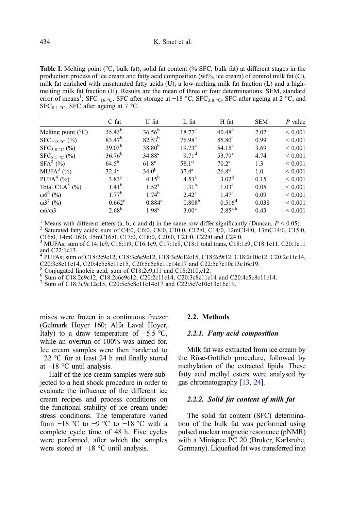<span id="page-3-0"></span>Table I. Melting point (°C, bulk fat), solid fat content (% SFC, bulk fat) at different stages in the production process of ice cream and fatty acid composition (wt%, ice cream) of control milk fat (C), milk fat enriched with unsaturated fatty acids (U), a low-melting milk fat fraction (L) and a highmelting milk fat fraction (H). Results are the mean of three or four determinations. SEM, standard error of means<sup>1</sup>; SFC<sub>−18</sub> °<sub>C</sub>, SFC after storage at −18 °C; SFC<sub>3.8</sub> °<sub>C</sub>, SFC after ageing at 2 °C; and  $SFC_{8.1}$  °C, SFC after ageing at 7 °C.

|                                            | C fat             | U fat             | L fat               | H fat             | <b>SEM</b> | $P$ value   |
|--------------------------------------------|-------------------|-------------------|---------------------|-------------------|------------|-------------|
| Melting point $(^{\circ}C)$                | $35.43^{b}$       | $36.56^{b}$       | $18.77^{\circ}$     | $40.48^{\rm a}$   | 2.02       | ${}< 0.001$ |
| $SFC_{-18} \circ_C (\%)$                   | $83.47^b$         | $82.53^{b}$       | $76.98^{\circ}$     | $85.80^{a}$       | 0.99       | ${}< 0.001$ |
| $SFC_{3.8} \text{ } \circ_{\text{C}} (\%)$ | $39.03^{b}$       | $38.80^{b}$       | $19.73^{\circ}$     | $54.15^{\rm a}$   | 3.69       | ${}< 0.001$ |
| $SFC_{8.1} \text{ } \circ_C (\%)$          | $36.76^b$         | $34.88^{\circ}$   | $9.71$ <sup>d</sup> | $53.79^{\rm a}$   | 4.74       | ${}< 0.001$ |
| $SFA^2$ (%)                                | $64.5^{b}$        | $61.8^\circ$      | $58.1^{\rm d}$      | $70.2^{\rm a}$    | 1.3        | ${}< 0.001$ |
| MUFA $^3$ (%)                              | $32.4^\circ$      | $34.0^{b}$        | $37.4^{\rm a}$      | 26.8 <sup>d</sup> | 1.0        | ${}< 0.001$ |
| PUFA $4$ (%)                               | $3.83^{\circ}$    | $4.15^{b}$        | $4.53^{\rm a}$      | $3.02^d$          | 0.15       | ${}< 0.001$ |
| Total $CLA^3$ (%)                          | $1.41^{b}$        | $1.52^{\rm a}$    | $1.31^{b}$          | 1.03 <sup>c</sup> | 0.05       | ${}< 0.001$ |
| ω6 <sup>6</sup> (%)                        | 1.77 <sup>b</sup> | $1.74^b$          | $2.42^{\rm a}$      | 1.47 <sup>c</sup> | 0.09       | ${}< 0.001$ |
| $\omega^{3}$ (%)                           | $0.662^{\circ}$   | $0.884^{\rm a}$   | $0.808^{b}$         | $0.516^d$         | 0.038      | ${}< 0.001$ |
| $\omega$ 6/ $\omega$ 3                     | $2.68^{b}$        | 1.98 <sup>c</sup> | 3.00 <sup>a</sup>   | $2.85^{a,b}$      | 0.43       | ${}< 0.001$ |

<sup>1</sup> Means with different letters (a, b, c and d) in the same row differ significantly (Duncan,  $P < 0.05$ ).<br><sup>2</sup> Saturated fatty acids; sum of C4:0, C6:0, C8:0, C10:0, C12:0, C14:0, 12mC14:0, 13mC14:0, C15:0,

C16:0, 14mC16:0, 15mC16:0, C17:0, C18:0, C20:0, C21:0, C22:0 and C24:0.

<sup>3</sup> MUFAs; sum of C14:1c9, C16:1t9, C16:1c9, C17:1c9, C18:1 total trans, C18:1c9, C18:1c11, C20:1c11 and C22:1c13.

<sup>4</sup> PUFAs; sum of C18:2c9c12, C18:3c6c9c12, C18:3c9c12c15, C18:2c9t12, C18:2t10c12, C20:2c11c14, C20:3c8c11c14, C20:4c5c8c11c15, C20:5c5c8c11c14c17 and C22:5c7c10c13c16c19.<br>
S Conjugated linoleic acid; sum of C18:2c9,t11 and C18:2t10,c12.

 $^6$  Sum of C18:2c9c12, C18:2c6c9c12, C20:2c11c14, C20:3c8c11c14 and C20:4c5c8c11c14.<br>7 Sum of C18:3c9c12c15, C20:5c5c8c11c14c17 and C22:5c7c10c13c16c19.

mixes were frozen in a continuous freezer (Gelmark Hoyer 160; Alfa Laval Hoyer, Italy) to a draw temperature of  $-5.5$  °C, while an overrun of 100% was aimed for. Ice cream samples were then hardened to −22 °C for at least 24 h and finally stored at −18 °C until analysis.

Half of the ice cream samples were subjected to a heat shock procedure in order to evaluate the influence of the different ice cream recipes and process conditions on the functional stability of ice cream under stress conditions. The temperature varied from  $-18$  °C to  $-9$  °C to  $-18$  °C with a complete cycle time of 48 h. Five cycles were performed, after which the samples were stored at −18 °C until analysis.

#### 2.2. Methods

## 2.2.1. Fatty acid composition

Milk fat was extracted from ice cream by the Röse-Gottlieb procedure, followed by methylation of the extracted lipids. These fatty acid methyl esters were analysed by gas chromatography [\[13,](#page-15-0) [24](#page-16-0)].

# 2.2.2. Solid fat content of milk fat

The solid fat content (SFC) determination of the bulk fat was performed using pulsed nuclear magnetic resonance (pNMR) with a Minispec PC 20 (Bruker, Karlsruhe, Germany). Liquefied fat was transferred into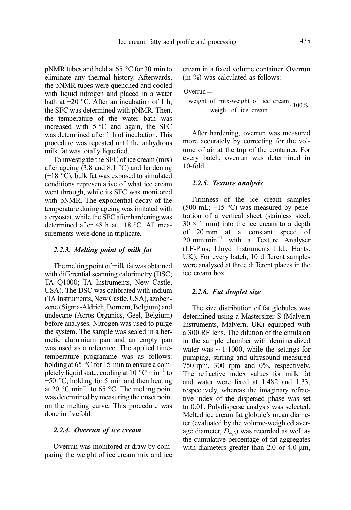pNMR tubes and held at 65 °C for 30 min to eliminate any thermal history. Afterwards, the pNMR tubes were quenched and cooled with liquid nitrogen and placed in a water bath at −20 °C. After an incubation of 1 h, the SFC was determined with pNMR. Then, the temperature of the water bath was increased with  $5^{\circ}$ C and again, the SFC was determined after 1 h of incubation. This procedure was repeated until the anhydrous milk fat was totally liquefied.

To investigate the SFC of ice cream (mix) after ageing (3.8 and 8.1  $^{\circ}$ C) and hardening (−18 °C), bulk fat was exposed to simulated conditions representative of what ice cream went through, while its SFC was monitored with pNMR. The exponential decay of the temperature during ageing was imitated with a cryostat, while the SFC after hardening was determined after 48 h at −18 °C. All measurements were done in triplicate.

#### 2.2.3. Melting point of milk fat

The melting point of milk fat was obtained with differential scanning calorimetry (DSC; TA Q1000; TA Instruments, New Castle, USA). The DSC was calibrated with indium (TA Instruments, NewCastle, USA), azobenzene (Sigma-Aldrich, Bornem, Belgium) and undecane (Acros Organics, Geel, Belgium) before analyses. Nitrogen was used to purge the system. The sample was sealed in a hermetic aluminium pan and an empty pan was used as a reference. The applied timetemperature programme was as follows: holding at 65 °C for 15 min to ensure a completely liquid state, cooling at 10  $^{\circ}$ C min<sup>-1</sup> to −50 °C, holding for 5 min and then heating at 20  $\rm{^{\circ}C}$  min<sup>-1</sup> to 65  $\rm{^{\circ}C}$ . The melting point was determined by measuring the onset point on the melting curve. This procedure was done in fivefold.

#### 2.2.4. Overrun of ice cream

Overrun was monitored at draw by comparing the weight of ice cream mix and ice cream in a fixed volume container. Overrun (in %) was calculated as follows:

Overrun ¼ weight of mix-weight of ice cream weight of ice cream -100%:

After hardening, overrun was measured more accurately by correcting for the volume of air at the top of the container. For every batch, overrun was determined in 10-fold.

#### 2.2.5. Texture analysis

Firmness of the ice cream samples (500 mL;  $-15$  °C) was measured by penetration of a vertical sheet (stainless steel;  $30 \times 1$  mm) into the ice cream to a depth of 20 mm at a constant speed of 20 mm∙min−<sup>1</sup> with a Texture Analyser (LF-Plus; Lloyd Instruments Ltd., Hants, UK). For every batch, 10 different samples were analysed at three different places in the ice cream box.

## 2.2.6. Fat droplet size

The size distribution of fat globules was determined using a Mastersizer S (Malvern Instruments, Malvern, UK) equipped with a 300 RF lens. The dilution of the emulsion in the sample chamber with demineralized water was  $\sim$  1:1000, while the settings for pumping, stirring and ultrasound measured 750 rpm, 300 rpm and 0%, respectively. The refractive index values for milk fat and water were fixed at 1.482 and 1.33, respectively, whereas the imaginary refractive index of the dispersed phase was set to 0.01. Polydisperse analysis was selected. Melted ice cream fat globule's mean diameter (evaluated by the volume-weighted average diameter,  $D_{4,3}$ ) was recorded as well as the cumulative percentage of fat aggregates with diameters greater than 2.0 or 4.0 μm,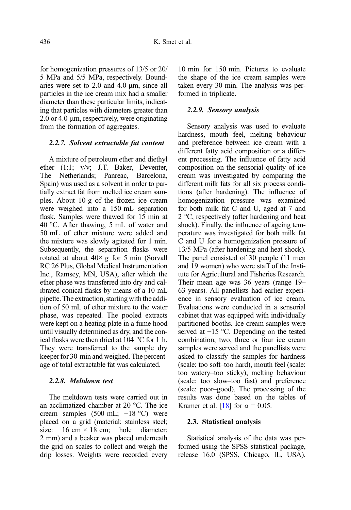for homogenization pressures of 13/5 or 20/ 5 MPa and 5/5 MPa, respectively. Boundaries were set to 2.0 and 4.0 μm, since all particles in the ice cream mix had a smaller diameter than these particular limits, indicating that particles with diameters greater than 2.0 or 4.0 μm, respectively, were originating from the formation of aggregates.

# 2.2.7. Solvent extractable fat content

A mixture of petroleum ether and diethyl ether (1:1; v/v; J.T. Baker, Deventer, The Netherlands; Panreac, Barcelona, Spain) was used as a solvent in order to partially extract fat from melted ice cream samples. About 10 g of the frozen ice cream were weighed into a 150 mL separation flask. Samples were thawed for 15 min at 40 °C. After thawing, 5 mL of water and 50 mL of ether mixture were added and the mixture was slowly agitated for 1 min. Subsequently, the separation flasks were rotated at about  $40 \times g$  for 5 min (Sorvall RC 26 Plus, Global Medical Instrumentation Inc., Ramsey, MN, USA), after which the ether phase was transferred into dry and calibrated conical flasks by means of a 10 mL pipette. The extraction, starting with the addition of 50 mL of ether mixture to the water phase, was repeated. The pooled extracts were kept on a heating plate in a fume hood until visually determined as dry, and the conical flasks were then dried at 104 °C for 1 h. They were transferred to the sample dry keeper for 30 min and weighed. The percentage of total extractable fat was calculated.

# 2.2.8. Meltdown test

The meltdown tests were carried out in an acclimatized chamber at 20 °C. The ice cream samples (500 mL; −18 °C) were placed on a grid (material: stainless steel; size:  $16 \text{ cm} \times 18 \text{ cm}$ ; hole diameter: 2 mm) and a beaker was placed underneath the grid on scales to collect and weigh the drip losses. Weights were recorded every

10 min for 150 min. Pictures to evaluate the shape of the ice cream samples were taken every 30 min. The analysis was performed in triplicate.

## 2.2.9. Sensory analysis

Sensory analysis was used to evaluate hardness, mouth feel, melting behaviour and preference between ice cream with a different fatty acid composition or a different processing. The influence of fatty acid composition on the sensorial quality of ice cream was investigated by comparing the different milk fats for all six process conditions (after hardening). The influence of homogenization pressure was examined for both milk fat C and U, aged at 7 and 2 °C, respectively (after hardening and heat shock). Finally, the influence of ageing temperature was investigated for both milk fat C and U for a homogenization pressure of 13/5 MPa (after hardening and heat shock). The panel consisted of 30 people (11 men and 19 women) who were staff of the Institute for Agricultural and Fisheries Research. Their mean age was 36 years (range 19– 63 years). All panellists had earlier experience in sensory evaluation of ice cream. Evaluations were conducted in a sensorial cabinet that was equipped with individually partitioned booths. Ice cream samples were served at −15 °C. Depending on the tested combination, two, three or four ice cream samples were served and the panellists were asked to classify the samples for hardness (scale: too soft–too hard), mouth feel (scale: too watery–too sticky), melting behaviour (scale: too slow–too fast) and preference (scale: poor–good). The processing of the results was done based on the tables of Kramer et al. [[18](#page-15-0)] for  $\alpha = 0.05$ .

## 2.3. Statistical analysis

Statistical analysis of the data was performed using the SPSS statistical package, release 16.0 (SPSS, Chicago, IL, USA).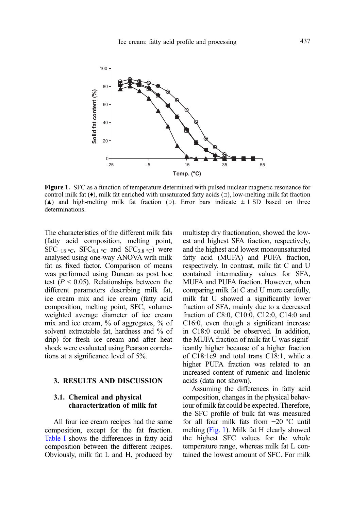

Figure 1. SFC as a function of temperature determined with pulsed nuclear magnetic resonance for control milk fat  $(\bullet)$ , milk fat enriched with unsaturated fatty acids  $(\square)$ , low-melting milk fat fraction (A) and high-melting milk fat fraction ( $\circ$ ). Error bars indicate  $\pm$  1 SD based on three determinations.

The characteristics of the different milk fats (fatty acid composition, melting point,  $SFC_{-18}$  °C,  $SFC_{8,1}$  °C and  $SFC_{3,8}$  °C) were analysed using one-way ANOVA with milk fat as fixed factor. Comparison of means was performed using Duncan as post hoc test ( $P < 0.05$ ). Relationships between the different parameters describing milk fat, ice cream mix and ice cream (fatty acid composition, melting point, SFC, volumeweighted average diameter of ice cream mix and ice cream, % of aggregates, % of solvent extractable fat, hardness and % of drip) for fresh ice cream and after heat shock were evaluated using Pearson correlations at a significance level of 5%.

#### 3. RESULTS AND DISCUSSION

# 3.1. Chemical and physical characterization of milk fat

All four ice cream recipes had the same composition, except for the fat fraction. [Table I](#page-3-0) shows the differences in fatty acid composition between the different recipes. Obviously, milk fat L and H, produced by multistep dry fractionation, showed the lowest and highest SFA fraction, respectively, and the highest and lowest monounsaturated fatty acid (MUFA) and PUFA fraction, respectively. In contrast, milk fat C and U contained intermediary values for SFA, MUFA and PUFA fraction. However, when comparing milk fat C and U more carefully, milk fat U showed a significantly lower fraction of SFA, mainly due to a decreased fraction of C8:0, C10:0, C12:0, C14:0 and C16:0, even though a significant increase in C18:0 could be observed. In addition, the MUFA fraction of milk fat U was significantly higher because of a higher fraction of C18:1c9 and total trans C18:1, while a higher PUFA fraction was related to an increased content of rumenic and linolenic acids (data not shown).

Assuming the differences in fatty acid composition, changes in the physical behaviour of milk fat could be expected. Therefore, the SFC profile of bulk fat was measured for all four milk fats from −20 °C until melting (Fig. 1). Milk fat H clearly showed the highest SFC values for the whole temperature range, whereas milk fat L contained the lowest amount of SFC. For milk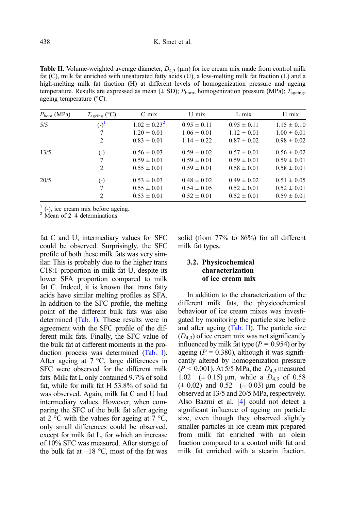**Table II.** Volume-weighted average diameter,  $D_{4,3}$  ( $\mu$ m) for ice cream mix made from control milk fat (C), milk fat enriched with unsaturated fatty acids (U), a low-melting milk fat fraction (L) and a high-melting milk fat fraction (H) at different levels of homogenization pressure and ageing temperature. Results are expressed as mean  $(\pm SD)$ ;  $P_{\text{hom}}$ , homogenization pressure (MPa);  $T_{\text{ayeine}}$ , ageing temperature (°C).

| $P_{\text{hom}}$ (MPa) | $T_{\text{ageing}}$ (°C) | $C$ mix           | U mix           | L mix           | H mix           |
|------------------------|--------------------------|-------------------|-----------------|-----------------|-----------------|
| 5/5                    | $(-)^1$                  | $1.02 \pm 0.23^2$ | $0.95 \pm 0.11$ | $0.95 \pm 0.11$ | $1.15 \pm 0.10$ |
|                        | 7                        | $1.20 \pm 0.01$   | $1.06 \pm 0.01$ | $1.12 \pm 0.01$ | $1.00 \pm 0.01$ |
|                        | 2                        | $0.83 \pm 0.01$   | $1.14 \pm 0.22$ | $0.87 \pm 0.02$ | $0.98 \pm 0.02$ |
| 13/5                   | $\left( \cdot \right)$   | $0.56 \pm 0.03$   | $0.59 \pm 0.02$ | $0.57 \pm 0.01$ | $0.56 \pm 0.02$ |
|                        | 7                        | $0.59 \pm 0.01$   | $0.59 \pm 0.01$ | $0.59 \pm 0.01$ | $0.59 \pm 0.01$ |
|                        | $\mathfrak{D}_{1}$       | $0.55 \pm 0.01$   | $0.59 \pm 0.01$ | $0.58 \pm 0.01$ | $0.58 \pm 0.01$ |
| 20/5                   | $(\textnormal{-})$       | $0.53 \pm 0.03$   | $0.48 \pm 0.02$ | $0.49 \pm 0.02$ | $0.51 \pm 0.05$ |
|                        | 7                        | $0.55 \pm 0.01$   | $0.54 \pm 0.05$ | $0.52 \pm 0.01$ | $0.52 \pm 0.01$ |
|                        | 2                        | $0.53 \pm 0.01$   | $0.52 \pm 0.01$ | $0.52 \pm 0.01$ | $0.59 \pm 0.01$ |

 $\frac{1}{2}$  (-), ice cream mix before ageing.<br><sup>2</sup> Mean of 2–4 determinations.

fat C and U, intermediary values for SFC could be observed. Surprisingly, the SFC profile of both these milk fats was very similar. This is probably due to the higher trans C18:1 proportion in milk fat U, despite its lower SFA proportion compared to milk fat C. Indeed, it is known that trans fatty acids have similar melting profiles as SFA. In addition to the SFC profile, the melting point of the different bulk fats was also determined ([Tab. I\)](#page-3-0). These results were in agreement with the SFC profile of the different milk fats. Finally, the SFC value of the bulk fat at different moments in the production process was determined ([Tab. I\)](#page-3-0). After ageing at  $7^{\circ}$ C, large differences in SFC were observed for the different milk fats. Milk fat L only contained 9.7% of solid fat, while for milk fat H 53.8% of solid fat was observed. Again, milk fat C and U had intermediary values. However, when comparing the SFC of the bulk fat after ageing at 2  $\mathrm{C}$  with the values for ageing at 7  $\mathrm{C}$ , only small differences could be observed, except for milk fat L, for which an increase of 10% SFC was measured. After storage of the bulk fat at  $-18$  °C, most of the fat was

solid (from 77% to 86%) for all different milk fat types.

# 3.2. Physicochemical characterization of ice cream mix

In addition to the characterization of the different milk fats, the physicochemical behaviour of ice cream mixes was investigated by monitoring the particle size before and after ageing (Tab. II). The particle size  $(D_4,3)$  of ice cream mix was not significantly influenced by milk fat type ( $P = 0.954$ ) or by ageing ( $P = 0.380$ ), although it was significantly altered by homogenization pressure  $(P < 0.001)$ . At 5/5 MPa, the  $D_{4,3}$  measured 1.02  $(\pm 0.15)$  μm, while a  $D_{4,3}$  of 0.58  $(\pm 0.02)$  and 0.52  $(\pm 0.03)$  μm could be observed at 13/5 and 20/5 MPa, respectively. Also Bazmi et al. [\[4](#page-15-0)] could not detect a significant influence of ageing on particle size, even though they observed slightly smaller particles in ice cream mix prepared from milk fat enriched with an olein fraction compared to a control milk fat and milk fat enriched with a stearin fraction.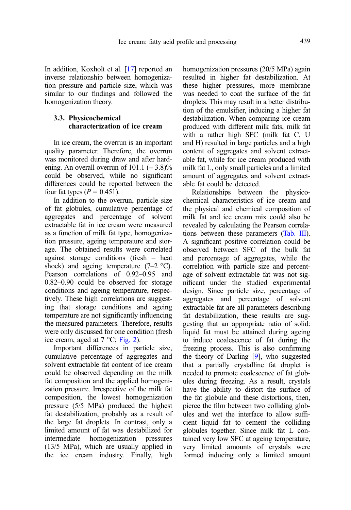In addition, Koxholt et al. [\[17\]](#page-15-0) reported an inverse relationship between homogenization pressure and particle size, which was similar to our findings and followed the homogenization theory.

# 3.3. Physicochemical characterization of ice cream

In ice cream, the overrun is an important quality parameter. Therefore, the overrun was monitored during draw and after hardening. An overall overrun of 101.1 ( $\pm$  3.8)% could be observed, while no significant differences could be reported between the four fat types  $(P = 0.451)$ .

In addition to the overrun, particle size of fat globules, cumulative percentage of aggregates and percentage of solvent extractable fat in ice cream were measured as a function of milk fat type, homogenization pressure, ageing temperature and storage. The obtained results were correlated against storage conditions (fresh – heat shock) and ageing temperature  $(7-2 \text{ °C})$ . Pearson correlations of 0.92–0.95 and 0.82–0.90 could be observed for storage conditions and ageing temperature, respectively. These high correlations are suggesting that storage conditions and ageing temperature are not significantly influencing the measured parameters. Therefore, results were only discussed for one condition (fresh ice cream, aged at 7 °C; [Fig. 2](#page-9-0)).

Important differences in particle size, cumulative percentage of aggregates and solvent extractable fat content of ice cream could be observed depending on the milk fat composition and the applied homogenization pressure. Irrespective of the milk fat composition, the lowest homogenization pressure (5/5 MPa) produced the highest fat destabilization, probably as a result of the large fat droplets. In contrast, only a limited amount of fat was destabilized for intermediate homogenization pressures (13/5 MPa), which are usually applied in the ice cream industry. Finally, high homogenization pressures (20/5 MPa) again resulted in higher fat destabilization. At these higher pressures, more membrane was needed to coat the surface of the fat droplets. This may result in a better distribution of the emulsifier, inducing a higher fat destabilization. When comparing ice cream produced with different milk fats, milk fat with a rather high SFC (milk fat C, U and H) resulted in large particles and a high content of aggregates and solvent extractable fat, while for ice cream produced with milk fat L, only small particles and a limited amount of aggregates and solvent extractable fat could be detected.

Relationships between the physicochemical characteristics of ice cream and the physical and chemical composition of milk fat and ice cream mix could also be revealed by calculating the Pearson correlations between these parameters ([Tab. III](#page-10-0)). A significant positive correlation could be observed between SFC of the bulk fat and percentage of aggregates, while the correlation with particle size and percentage of solvent extractable fat was not significant under the studied experimental design. Since particle size, percentage of aggregates and percentage of solvent extractable fat are all parameters describing fat destabilization, these results are suggesting that an appropriate ratio of solid: liquid fat must be attained during ageing to induce coalescence of fat during the freezing process. This is also confirming the theory of Darling [\[9](#page-15-0)], who suggested that a partially crystalline fat droplet is needed to promote coalescence of fat globules during freezing. As a result, crystals have the ability to distort the surface of the fat globule and these distortions, then, pierce the film between two colliding globules and wet the interface to allow sufficient liquid fat to cement the colliding globules together. Since milk fat L contained very low SFC at ageing temperature, very limited amounts of crystals were formed inducing only a limited amount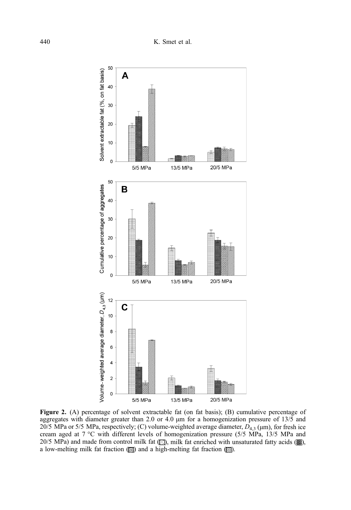<span id="page-9-0"></span>

Figure 2. (A) percentage of solvent extractable fat (on fat basis); (B) cumulative percentage of aggregates with diameter greater than 2.0 or 4.0 μm for a homogenization pressure of 13/5 and 20/5 MPa or 5/5 MPa, respectively; (C) volume-weighted average diameter,  $D_{4,3}$  ( $\mu$ m), for fresh ice cream aged at 7 °C with different levels of homogenization pressure (5/5 MPa, 13/5 MPa and 20/5 MPa) and made from control milk fat  $([$ , milk fat enriched with unsaturated fatty acids  $([$ , a low-melting milk fat fraction  $(\boxtimes)$  and a high-melting fat fraction  $(\boxtimes)$ .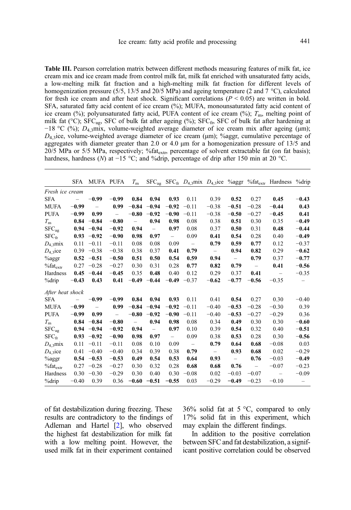<span id="page-10-0"></span>Table III. Pearson correlation matrix between different methods measuring features of milk fat, ice cream mix and ice cream made from control milk fat, milk fat enriched with unsaturated fatty acids, a low-melting milk fat fraction and a high-melting milk fat fraction for different levels of homogenization pressure (5/5, 13/5 and 20/5 MPa) and ageing temperature (2 and 7 °C), calculated for fresh ice cream and after heat shock. Significant correlations  $(P < 0.05)$  are written in bold. SFA, saturated fatty acid content of ice cream (%); MUFA, monounsaturated fatty acid content of ice cream (%); polyunsaturated fatty acid, PUFA content of ice cream (%);  $T<sub>m</sub>$ , melting point of milk fat (°C); SFC<sub>ag</sub>, SFC of bulk fat after ageing (%); SFC<sub>fr</sub>, SFC of bulk fat after hardening at −18 °C (%);  $D_4$ <sub>3</sub>mix, volume-weighted average diameter of ice cream mix after ageing ( $\mu$ m);  $D_{4,3}$ ice, volume-weighted average diameter of ice cream (μm); %aggr, cumulative percentage of aggregates with diameter greater than 2.0 or 4.0 μm for a homogenization pressure of 13/5 and  $20/5$  MPa or 5/5 MPa, respectively; %fat<sub>extr</sub>, percentage of solvent extractable fat (on fat basis); hardness, hardness (N) at −15 °C; and %drip, percentage of drip after 150 min at 20 °C.

|                       | <b>SFA</b>               | MUFA PUFA                |                          | $T_{\rm m}$              |                   |                   |                          |                          |                          |                          | $SFC_{ag}$ $SFC_{fr}$ $D_{4,3}$ mix $D_{4,3}$ ice %aggr %fat <sub>extr</sub> Hardness %drip |                          |
|-----------------------|--------------------------|--------------------------|--------------------------|--------------------------|-------------------|-------------------|--------------------------|--------------------------|--------------------------|--------------------------|---------------------------------------------------------------------------------------------|--------------------------|
| Fresh ice cream       |                          |                          |                          |                          |                   |                   |                          |                          |                          |                          |                                                                                             |                          |
| <b>SFA</b>            |                          | $-0.99$                  | $-0.99$                  | 0.84                     | 0.94              | 0.93              | 0.11                     | 0.39                     | 0.52                     | 0.27                     | 0.45                                                                                        | $-0.43$                  |
| <b>MUFA</b>           | $-0.99$                  | $\overline{\phantom{a}}$ | 0.99                     | $-0.84$                  | $-0.94$           | $-0.92$           | $-0.11$                  | $-0.38$                  | $-0.51$                  | $-0.28$                  | $-0.44$                                                                                     | 0.43                     |
| <b>PUFA</b>           | $-0.99$                  | 0.99                     | $\overline{\phantom{a}}$ | $-0.80$                  | $-0.92$           | $-0.90$           | $-0.11$                  | $-0.38$                  | $-0.50$                  | $-0.27$                  | $-0.45$                                                                                     | 0.41                     |
| $T_{\rm m}$           | 0.84                     | $-0.84$                  | $-0.80$                  | $\overline{\phantom{0}}$ | 0.94              | 0.98              | 0.08                     | 0.38                     | 0.51                     | 0.30                     | 0.35                                                                                        | $-0.49$                  |
| SFC <sub>ag</sub>     |                          | $0.94 - 0.94$            | $-0.92$                  | 0.94                     | $\qquad \qquad -$ | 0.97              | 0.08                     | 0.37                     | 0.50                     | 0.31                     | 0.48                                                                                        | $-0.44$                  |
| SFC <sub>fr</sub>     |                          | $0.93 - 0.92$            | $-0.90$                  | 0.98                     | 0.97              | $ \,$             | 0.09                     | 0.41                     | 0.54                     | 0.28                     | 0.40                                                                                        | $-0.49$                  |
| $D_{4,3}$ mix         | 0.11                     | $-0.11$                  | $-0.11$                  | 0.08                     | 0.08              | 0.09              | $\overline{\phantom{a}}$ | 0.79                     | 0.59                     | 0.77                     | 0.12                                                                                        | $-0.37$                  |
| $D_{4,3}$ ice         |                          | $0.39 - 0.38$            | $-0.38$                  | 0.38                     | 0.37              | 0.41              | 0.79                     | $\overline{\phantom{a}}$ | 0.94                     | 0.82                     | 0.29                                                                                        | $-0.62$                  |
| $\%$ aggr             |                          | $0.52 -0.51$             | $-0.50$                  | 0.51                     | 0.50              | 0.54              | 0.59                     | 0.94                     | $\overline{\phantom{a}}$ | 0.79                     | 0.37                                                                                        | $-0.77$                  |
| $%$ fat $_{\rm extr}$ |                          | $0.27 -0.28$             | $-0.27$                  | 0.30                     | 0.31              | 0.28              | 0.77                     | 0.82                     | 0.79                     | $\overline{\phantom{m}}$ | 0.41                                                                                        | $-0.56$                  |
| Hardness              | 0.45                     | $-0.44$                  | $-0.45$                  | 0.35                     | 0.48              | 0.40              | 0.12                     | 0.29                     | 0.37                     | 0.41                     | $\overline{\phantom{m}}$                                                                    | $-0.35$                  |
| %drip                 | $-0.43$                  | 0.43                     | 0.41                     | $-0.49$                  | $-0.44$           | $-0.49$           | $-0.37$                  | $-0.62$                  | $-0.77$                  | $-0.56$                  | $-0.35$                                                                                     |                          |
| After heat shock      |                          |                          |                          |                          |                   |                   |                          |                          |                          |                          |                                                                                             |                          |
| <b>SFA</b>            | $\overline{\phantom{0}}$ | $-0.99$                  | $-0.99$                  | 0.84                     | 0.94              | 0.93              | 0.11                     | 0.41                     | 0.54                     | 0.27                     | 0.30                                                                                        | $-0.40$                  |
| <b>MUFA</b>           | $-0.99$                  | $\qquad \qquad -$        | 0.99                     | $-0.84$                  | $-0.94$           | $-0.92$           | $-0.11$                  | $-0.40$                  | $-0.53$                  | $-0.28$                  | $-0.30$                                                                                     | 0.39                     |
| <b>PUFA</b>           | $-0.99$                  | 0.99                     | $\qquad \qquad -$        | $-0.80$                  | $-0.92$           | $-0.90$           | $-0.11$                  | $-0.40$                  | $-0.53$                  | $-0.27$                  | $-0.29$                                                                                     | 0.36                     |
| $T_{\rm m}$           |                          | $0.84 - 0.84$            | $-0.80$                  | $\overline{\phantom{0}}$ | 0.94              | 0.98              | 0.08                     | 0.34                     | 0.49                     | 0.30                     | 0.30                                                                                        | $-0.60$                  |
| $SFC_{ag}$            |                          | $0.94 - 0.94$            | $-0.92$                  | 0.94                     | $\qquad \qquad -$ | 0.97              | 0.10                     | 0.39                     | 0.54                     | 0.32                     | 0.40                                                                                        | $-0.51$                  |
| SFC <sub>fr</sub>     |                          | $0.93 - 0.92$            | $-0.90$                  | 0.98                     | 0.97              | $\qquad \qquad -$ | 0.09                     | 0.38                     | 0.53                     | 0.28                     | 0.30                                                                                        | $-0.56$                  |
| $D_{4,3}$ mix         | 0.11                     | $-0.11$                  | $-0.11$                  | 0.08                     | 0.10              | 0.09              | $\overline{\phantom{a}}$ | 0.79                     | 0.64                     | 0.68                     | $-0.08$                                                                                     | 0.03                     |
| $D_{4,3}$ ice         | 0.41                     | $-0.40$                  | $-0.40$                  | 0.34                     | 0.39              | 0.38              | 0.79                     | $\overline{\phantom{m}}$ | 0.93                     | 0.68                     | 0.02                                                                                        | $-0.29$                  |
| $\%$ aggr             |                          | $0.54 - 0.53$            | $-0.53$                  | 0.49                     | 0.54              | 0.53              | 0.64                     | 0.93                     | $\overline{\phantom{m}}$ | 0.76                     | $-0.03$                                                                                     | $-0.49$                  |
| $%$ fat $_{\rm extr}$ |                          | $0.27 -0.28$             | $-0.27$                  | 0.30                     | 0.32              | 0.28              | 0.68                     | 0.68                     | 0.76                     | $\overline{\phantom{0}}$ | $-0.07$                                                                                     | $-0.23$                  |
| Hardness              | 0.30                     | $-0.30$                  | $-0.29$                  | 0.30                     | 0.40              | 0.30              | $-0.08$                  | 0.02                     | $-0.03$                  | $-0.07$                  | $\hspace{0.1in} - \hspace{0.1in}$                                                           | $-0.09$                  |
| %drip                 | $-0.40$                  | 0.39                     | 0.36                     | $-0.60$                  | $-0.51$           | $-0.55$           | 0.03                     | $-0.29$                  | $-0.49$                  | $-0.23$                  | $-0.10$                                                                                     | $\overline{\phantom{m}}$ |

of fat destabilization during freezing. These results are contradictory to the findings of Adleman and Hartel [\[2\]](#page-15-0), who observed the highest fat destabilization for milk fat with a low melting point. However, the used milk fat in their experiment contained  $36\%$  solid fat at  $5^{\circ}$ C, compared to only 17% solid fat in this experiment, which may explain the different findings.

In addition to the positive correlation between SFC and fat destabilization, a significant positive correlation could be observed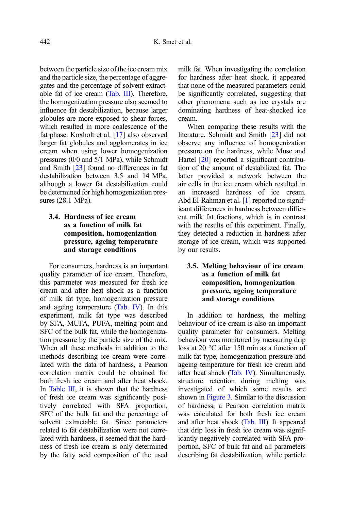between the particle size of the ice cream mix and the particle size, the percentage of aggregates and the percentage of solvent extractable fat of ice cream [\(Tab. III\)](#page-10-0). Therefore, the homogenization pressure also seemed to influence fat destabilization, because larger globules are more exposed to shear forces, which resulted in more coalescence of the fat phase. Koxholt et al. [\[17\]](#page-15-0) also observed larger fat globules and agglomerates in ice cream when using lower homogenization pressures (0/0 and 5/1 MPa), while Schmidt and Smith [[23](#page-16-0)] found no differences in fat destabilization between 3.5 and 14 MPa, although a lower fat destabilization could be determined for high homogenization pressures (28.1 MPa).

# 3.4. Hardness of ice cream as a function of milk fat composition, homogenization pressure, ageing temperature and storage conditions

For consumers, hardness is an important quality parameter of ice cream. Therefore, this parameter was measured for fresh ice cream and after heat shock as a function of milk fat type, homogenization pressure and ageing temperature [\(Tab. IV\)](#page-12-0). In this experiment, milk fat type was described by SFA, MUFA, PUFA, melting point and SFC of the bulk fat, while the homogenization pressure by the particle size of the mix. When all these methods in addition to the methods describing ice cream were correlated with the data of hardness, a Pearson correlation matrix could be obtained for both fresh ice cream and after heat shock. In [Table III,](#page-10-0) it is shown that the hardness of fresh ice cream was significantly positively correlated with SFA proportion, SFC of the bulk fat and the percentage of solvent extractable fat. Since parameters related to fat destabilization were not correlated with hardness, it seemed that the hardness of fresh ice cream is only determined by the fatty acid composition of the used milk fat. When investigating the correlation for hardness after heat shock, it appeared that none of the measured parameters could be significantly correlated, suggesting that other phenomena such as ice crystals are dominating hardness of heat-shocked ice cream.

When comparing these results with the literature, Schmidt and Smith [\[23\]](#page-16-0) did not observe any influence of homogenization pressure on the hardness, while Muse and Hartel [\[20\]](#page-16-0) reported a significant contribution of the amount of destabilized fat. The latter provided a network between the air cells in the ice cream which resulted in an increased hardness of ice cream. Abd El-Rahman et al. [\[1](#page-15-0)] reported no significant differences in hardness between different milk fat fractions, which is in contrast with the results of this experiment. Finally, they detected a reduction in hardness after storage of ice cream, which was supported by our results.

# 3.5. Melting behaviour of ice cream as a function of milk fat composition, homogenization pressure, ageing temperature and storage conditions

In addition to hardness, the melting behaviour of ice cream is also an important quality parameter for consumers. Melting behaviour was monitored by measuring drip loss at 20 °C after 150 min as a function of milk fat type, homogenization pressure and ageing temperature for fresh ice cream and after heat shock ([Tab. IV](#page-12-0)). Simultaneously, structure retention during melting was investigated of which some results are shown in [Figure 3.](#page-13-0) Similar to the discussion of hardness, a Pearson correlation matrix was calculated for both fresh ice cream and after heat shock ([Tab. III\)](#page-10-0). It appeared that drip loss in fresh ice cream was significantly negatively correlated with SFA proportion, SFC of bulk fat and all parameters describing fat destabilization, while particle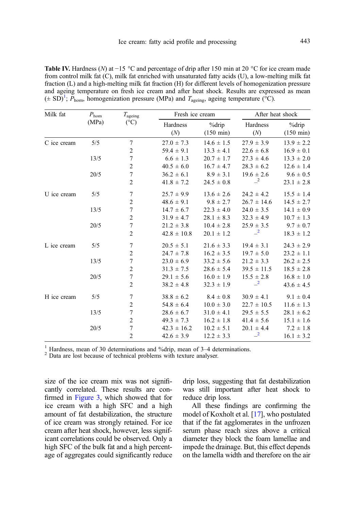<span id="page-12-0"></span>**Table IV.** Hardness (*N*) at −15 °C and percentage of drip after 150 min at 20 °C for ice cream made from control milk fat (C), milk fat enriched with unsaturated fatty acids (U), a low-melting milk fat fraction (L) and a high-melting milk fat fraction (H) for different levels of homogenization pressure and ageing temperature on fresh ice cream and after heat shock. Results are expressed as mean  $(\pm SD)^1$ ;  $P_{\text{hom}}$ , homogenization pressure (MPa) and  $T_{\text{aging}}$ , ageing temperature (°C).

| Milk fat    | $P_{\text{hom}}$ | $T_{\rm{ageing}}$<br>(C) | Fresh ice cream |                              | After heat shock |                              |  |
|-------------|------------------|--------------------------|-----------------|------------------------------|------------------|------------------------------|--|
|             | (MPa)            |                          | Hardness<br>(N) | %drip<br>$(150 \text{ min})$ | Hardness<br>(N)  | %drip<br>$(150 \text{ min})$ |  |
| C ice cream | 5/5              | $\overline{7}$           | $27.0 \pm 7.3$  | $14.6 \pm 1.5$               | $27.9 \pm 3.9$   | $13.9 \pm 2.2$               |  |
|             |                  | $\overline{c}$           | $59.4 \pm 9.1$  | $13.3 \pm 4.1$               | $22.6 \pm 6.8$   | $16.9 \pm 0.1$               |  |
|             | 13/5             | $\overline{7}$           | $6.6 \pm 1.3$   | $20.7 \pm 1.7$               | $27.3 \pm 4.6$   | $13.3 \pm 2.0$               |  |
|             |                  | $\overline{c}$           | $40.5 \pm 6.0$  | $16.7 \pm 4.7$               | $28.3 \pm 6.2$   | $12.6 \pm 1.4$               |  |
|             | 20/5             | $\overline{7}$           | $36.2 \pm 6.1$  | $8.9 \pm 3.1$                | $19.6 \pm 2.6$   | $9.6 \pm 0.5$                |  |
|             |                  | $\overline{c}$           | $41.8 \pm 7.2$  | $24.5 \pm 0.8$               | $\overline{c}^2$ | $23.1 \pm 2.8$               |  |
| U ice cream | 5/5              | $\overline{7}$           | $25.7 \pm 9.9$  | $13.6 \pm 2.6$               | $24.2 \pm 4.2$   | $15.5 \pm 1.4$               |  |
|             |                  | $\overline{c}$           | $48.6 \pm 9.1$  | $9.8 \pm 2.7$                | $26.7 \pm 14.6$  | $14.5 \pm 2.7$               |  |
|             | 13/5             | 7                        | $14.7 \pm 6.7$  | $22.3 \pm 4.0$               | $24.0 \pm 3.5$   | $14.1 \pm 0.9$               |  |
|             |                  | $\overline{c}$           | $31.9 \pm 4.7$  | $28.1 \pm 8.3$               | $32.3 \pm 4.9$   | $10.7 \pm 1.3$               |  |
|             | 20/5             | $\tau$                   | $21.2 \pm 3.8$  | $10.4 \pm 2.8$               | $25.9 \pm 3.5$   | $9.7 \pm 0.7$                |  |
|             |                  | $\overline{2}$           | $42.8 \pm 10.8$ | $20.1 \pm 1.2$               | $\mathbf{r}$     | $18.3 \pm 1.2$               |  |
| L ice cream | 5/5              | 7                        | $20.5 \pm 5.1$  | $21.6 \pm 3.3$               | $19.4 \pm 3.1$   | $24.3 \pm 2.9$               |  |
|             |                  | $\overline{2}$           | $24.7 \pm 7.8$  | $16.2 \pm 3.5$               | $19.7 \pm 5.0$   | $23.2 \pm 1.1$               |  |
|             | 13/5             | $\overline{\mathcal{I}}$ | $23.0 \pm 6.9$  | $33.2 \pm 5.6$               | $21.2 \pm 3.3$   | $26.2 \pm 2.5$               |  |
|             |                  | $\overline{c}$           | $31.3 \pm 7.5$  | $28.6 \pm 5.4$               | $39.5 \pm 11.5$  | $18.5 \pm 2.8$               |  |
|             | 20/5             | $\tau$                   | $29.1 \pm 5.6$  | $16.0 \pm 1.9$               | $15.5 \pm 2.8$   | $16.8 \pm 1.0$               |  |
|             |                  | $\overline{2}$           | $38.2 \pm 4.8$  | $32.3 \pm 1.9$               | $\mathbf{r}$     | $43.6 \pm 4.5$               |  |
| H ice cream | 5/5              | $\overline{7}$           | $38.8 \pm 6.2$  | $8.4 \pm 0.8$                | $30.9 \pm 4.1$   | $9.1 \pm 0.4$                |  |
|             |                  | $\overline{2}$           | $54.8 \pm 6.4$  | $10.0 \pm 3.0$               | $22.7 \pm 10.5$  | $11.6 \pm 1.3$               |  |
|             | 13/5             | 7                        | $28.6 \pm 6.7$  | $31.0 \pm 4.1$               | $29.5 \pm 5.5$   | $28.1 \pm 6.2$               |  |
|             |                  | $\overline{c}$           | $49.3 \pm 7.3$  | $16.2 \pm 1.8$               | $41.4 \pm 5.6$   | $15.1 \pm 1.6$               |  |
|             | 20/5             | $\boldsymbol{7}$         | $42.3 \pm 16.2$ | $10.2 \pm 5.1$               | $20.1 \pm 4.4$   | $7.2 \pm 1.8$                |  |
|             |                  | $\overline{c}$           | $42.6 \pm 3.9$  | $12.2 \pm 3.3$               | $\overline{-}^2$ | $16.1 \pm 3.2$               |  |

<sup>1</sup> Hardness, mean of 30 determinations and %drip, mean of 3–4 determinations. <sup>2</sup> Data are lost because of technical problems with texture analyser.

size of the ice cream mix was not significantly correlated. These results are confirmed in [Figure 3](#page-13-0), which showed that for ice cream with a high SFC and a high amount of fat destabilization, the structure of ice cream was strongly retained. For ice cream after heat shock, however, less significant correlations could be observed. Only a high SFC of the bulk fat and a high percentage of aggregates could significantly reduce drip loss, suggesting that fat destabilization was still important after heat shock to reduce drip loss.

All these findings are confirming the model of Koxholt et al. [\[17\]](#page-15-0), who postulated that if the fat agglomerates in the unfrozen serum phase reach sizes above a critical diameter they block the foam lamellae and impede the drainage. But, this effect depends on the lamella width and therefore on the air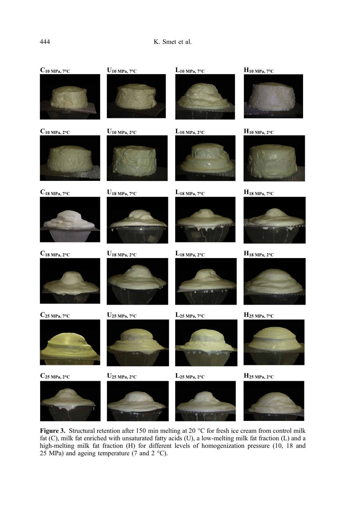# <span id="page-13-0"></span>444 K. Smet et al.



Figure 3. Structural retention after 150 min melting at 20 °C for fresh ice cream from control milk fat (C), milk fat enriched with unsaturated fatty acids (U), a low-melting milk fat fraction (L) and a high-melting milk fat fraction (H) for different levels of homogenization pressure (10, 18 and 25 MPa) and ageing temperature (7 and 2  $^{\circ}$ C).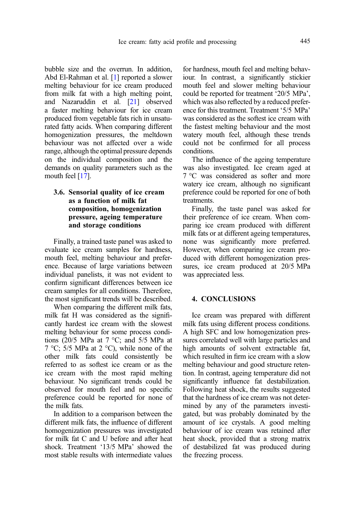bubble size and the overrun. In addition, Abd El-Rahman et al. [\[1\]](#page-15-0) reported a slower melting behaviour for ice cream produced from milk fat with a high melting point, and Nazaruddin et al. [\[21\]](#page-16-0) observed a faster melting behaviour for ice cream produced from vegetable fats rich in unsaturated fatty acids. When comparing different homogenization pressures, the meltdown behaviour was not affected over a wide range, although the optimal pressure depends on the individual composition and the demands on quality parameters such as the mouth feel [[17](#page-15-0)].

# 3.6. Sensorial quality of ice cream as a function of milk fat composition, homogenization pressure, ageing temperature and storage conditions

Finally, a trained taste panel was asked to evaluate ice cream samples for hardness, mouth feel, melting behaviour and preference. Because of large variations between individual panelists, it was not evident to confirm significant differences between ice cream samples for all conditions. Therefore, the most significant trends will be described.

When comparing the different milk fats, milk fat H was considered as the significantly hardest ice cream with the slowest melting behaviour for some process conditions (20/5 MPa at 7 °C; and 5/5 MPa at  $7 \text{ °C}$ ; 5/5 MPa at 2  $\text{ °C}$ ), while none of the other milk fats could consistently be referred to as softest ice cream or as the ice cream with the most rapid melting behaviour. No significant trends could be observed for mouth feel and no specific preference could be reported for none of the milk fats.

In addition to a comparison between the different milk fats, the influence of different homogenization pressures was investigated for milk fat C and U before and after heat shock. Treatment '13/5 MPa' showed the most stable results with intermediate values for hardness, mouth feel and melting behaviour. In contrast, a significantly stickier mouth feel and slower melting behaviour could be reported for treatment '20/5 MPa', which was also reflected by a reduced preference for this treatment. Treatment '5/5 MPa' was considered as the softest ice cream with the fastest melting behaviour and the most watery mouth feel, although these trends could not be confirmed for all process conditions.

The influence of the ageing temperature was also investigated. Ice cream aged at 7 °C was considered as softer and more watery ice cream, although no significant preference could be reported for one of both treatments.

Finally, the taste panel was asked for their preference of ice cream. When comparing ice cream produced with different milk fats or at different ageing temperatures, none was significantly more preferred. However, when comparing ice cream produced with different homogenization pressures, ice cream produced at 20/5 MPa was appreciated less.

#### 4. CONCLUSIONS

Ice cream was prepared with different milk fats using different process conditions. A high SFC and low homogenization pressures correlated well with large particles and high amounts of solvent extractable fat, which resulted in firm ice cream with a slow melting behaviour and good structure retention. In contrast, ageing temperature did not significantly influence fat destabilization. Following heat shock, the results suggested that the hardness of ice cream was not determined by any of the parameters investigated, but was probably dominated by the amount of ice crystals. A good melting behaviour of ice cream was retained after heat shock, provided that a strong matrix of destabilized fat was produced during the freezing process.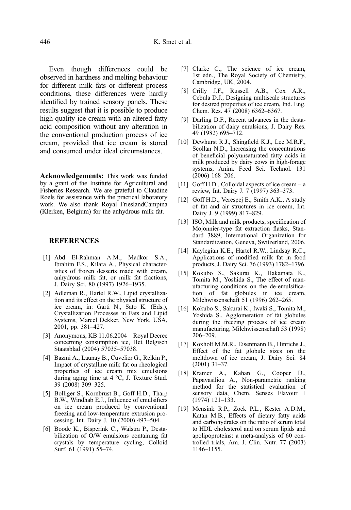<span id="page-15-0"></span>Even though differences could be observed in hardness and melting behaviour for different milk fats or different process conditions, these differences were hardly identified by trained sensory panels. These results suggest that it is possible to produce high-quality ice cream with an altered fatty acid composition without any alteration in the conventional production process of ice cream, provided that ice cream is stored and consumed under ideal circumstances.

Acknowledgements: This work was funded by a grant of the Institute for Agricultural and Fisheries Research. We are grateful to Claudine Roels for assistance with the practical laboratory work. We also thank Royal FrieslandCampina (Klerken, Belgium) for the anhydrous milk fat.

#### REFERENCES

- [1] Abd El-Rahman A.M., Madkor S.A., Ibrahim F.S., Kilara A., Physical characteristics of frozen desserts made with cream, anhydrous milk fat, or milk fat fractions, J. Dairy Sci. 80 (1997) 1926–1935.
- [2] Adleman R., Hartel R.W., Lipid crystallization and its effect on the physical structure of ice cream, in: Garti N., Sato K. (Eds.), Crystallization Processes in Fats and Lipid Systems, Marcel Dekker, New York, USA, 2001, pp. 381–427.
- [3] Anonymous, KB 11.06.2004 Royal Decree concerning consumption ice, Het Belgisch Staatsblad (2004) 57035–57038.
- [4] Bazmi A., Launay B., Cuvelier G., Relkin P., Impact of crystalline milk fat on rheological properties of ice cream mix emulsions during aging time at 4 °C, J. Texture Stud. 39 (2008) 309–325.
- [5] Bolliger S., Kornbrust B., Goff H.D., Tharp B.W., Windhab E.J., Influence of emulsifiers on ice cream produced by conventional freezing and low-temperature extrusion processing, Int. Dairy J. 10 (2000) 497–504.
- [6] Boode K., Bisperink C., Walstra P., Destabilization of O/W emulsions containing fat crystals by temperature cycling, Colloid Surf. 61 (1991) 55–74.
- [7] Clarke C., The science of ice cream, 1st edn., The Royal Society of Chemistry, Cambridge, UK, 2004.
- [8] Crilly J.F., Russell A.B., Cox A.R., Cebula D.J., Designing multiscale structures for desired properties of ice cream, Ind. Eng. Chem. Res. 47 (2008) 6362–6367.
- [9] Darling D.F., Recent advances in the destabilization of dairy emulsions, J. Dairy Res. 49 (1982) 695–712.
- [10] Dewhurst R.J., Shingfield K.J., Lee M.R.F., Scollan N.D., Increasing the concentrations of beneficial polyunsaturated fatty acids in milk produced by dairy cows in high-forage systems, Anim. Feed Sci. Technol. 131 (2006) 168–206.
- [11] Goff H.D., Colloidal aspects of ice cream a review, Int. Dairy J. 7 (1997) 363–373.
- [12] Goff H.D., Verespej E., Smith A.K., A study of fat and air structures in ice cream, Int. Dairy J. 9 (1999) 817–829.
- [13] ISO, Milk and milk products, specification of Mojonnier-type fat extraction flasks, Standard 3889, International Organization for Standardization, Geneva, Switzerland, 2006.
- [14] Kaylegian K.E., Hartel R.W., Lindsay R.C., Applications of modified milk fat in food products, J. Dairy Sci. 76 (1993) 1782–1796.
- [15] Kokubo S., Sakurai K., Hakamata K., Tomita M., Yoshida S., The effect of manufacturing conditions on the de-emulsification of fat globules in ice cream, Milchwissenschaft 51 (1996) 262–265.
- [16] Kokubo S., Sakurai K., Iwaki S., Tomita M., Yoshida S., Agglomeration of fat globules during the freezing process of ice cream manufacturing, Milchwissenschaft 53 (1998) 206–209.
- [17] Koxholt M.M.R., Eisenmann B., Hinrichs J., Effect of the fat globule sizes on the meltdown of ice cream, J. Dairy Sci. 84 (2001) 31–37.
- [18] Kramer A., Kahan G., Cooper D., Papavasiliou A., Non-parametric ranking method for the statistical evaluation of sensory data, Chem. Senses Flavour 1 (1974) 121–133.
- [19] Mensink R.P., Zock P.L., Kester A.D.M., Katan M.B., Effects of dietary fatty acids and carbohydrates on the ratio of serum total to HDL cholesterol and on serum lipids and apolipoproteins: a meta-analysis of 60 controlled trials, Am. J. Clin. Nutr. 77 (2003) 1146–1155.